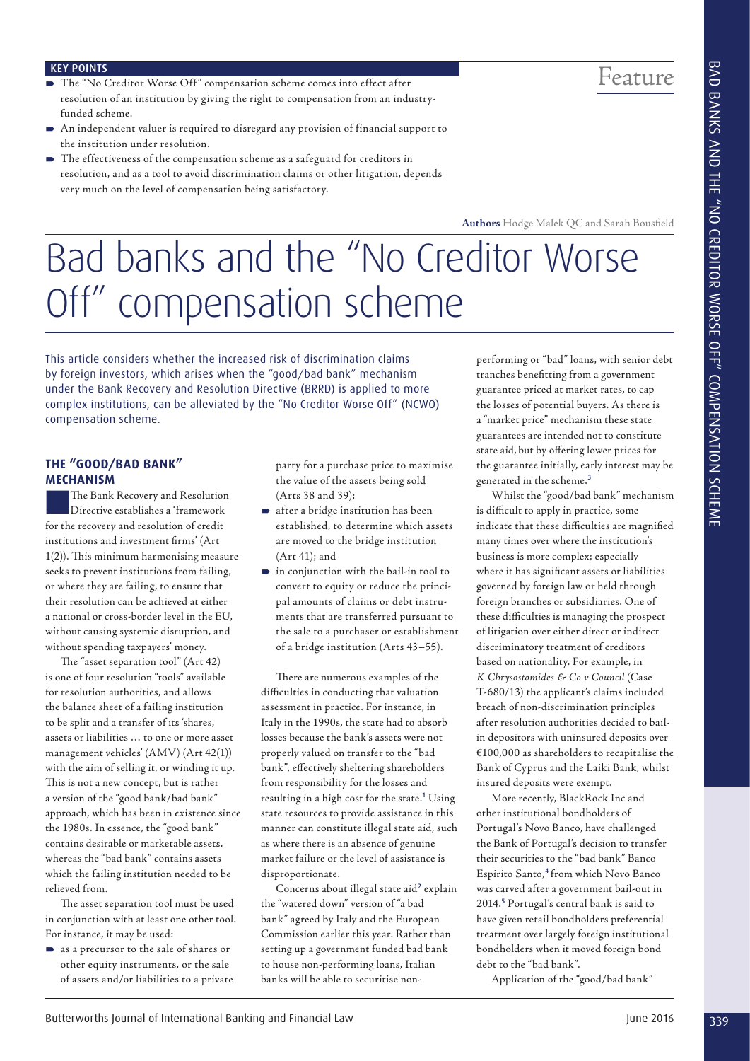## Feature

#### KEY POINTS

- The "No Creditor Worse Off" compensation scheme comes into effect after resolution of an institution by giving the right to compensation from an industryfunded scheme.
- An independent valuer is required to disregard any provision of financial support to the institution under resolution.
- The effectiveness of the compensation scheme as a safeguard for creditors in resolution, and as a tool to avoid discrimination claims or other litigation, depends very much on the level of compensation being satisfactory.

**Authors** Hodge Malek QC and Sarah Bousfield

# Bad banks and the "No Creditor Worse Off" compensation scheme

This article considers whether the increased risk of discrimination claims by foreign investors, which arises when the "good/bad bank" mechanism under the Bank Recovery and Resolution Directive (BRRD) is applied to more complex institutions, can be alleviated by the "No Creditor Worse Off" (NCWO) compensation scheme.

#### **THE "GOOD/BAD BANK" MECHANISM**

The Bank Recovery and Resolution Directive establishes a 'framework for the recovery and resolution of credit institutions and investment firms' (Art  $1(2)$ ). This minimum harmonising measure seeks to prevent institutions from failing, or where they are failing, to ensure that their resolution can be achieved at either a national or cross-border level in the EU, without causing systemic disruption, and without spending taxpayers' money.

The "asset separation tool" (Art 42) is one of four resolution "tools" available for resolution authorities, and allows the balance sheet of a failing institution to be split and a transfer of its 'shares, assets or liabilities … to one or more asset management vehicles' (AMV) (Art 42(1)) with the aim of selling it, or winding it up. This is not a new concept, but is rather a version of the "good bank/bad bank" approach, which has been in existence since the 1980s. In essence, the "good bank" contains desirable or marketable assets, whereas the "bad bank" contains assets which the failing institution needed to be relieved from.

The asset separation tool must be used in conjunction with at least one other tool. For instance, it may be used:

 as a precursor to the sale of shares or other equity instruments, or the sale of assets and/or liabilities to a private party for a purchase price to maximise the value of the assets being sold (Arts 38 and 39);

- after a bridge institution has been established, to determine which assets are moved to the bridge institution (Art 41); and
- in conjunction with the bail-in tool to convert to equity or reduce the principal amounts of claims or debt instruments that are transferred pursuant to the sale to a purchaser or establishment of a bridge institution (Arts 43–55).

There are numerous examples of the difficulties in conducting that valuation assessment in practice. For instance, in Italy in the 1990s, the state had to absorb losses because the bank's assets were not properly valued on transfer to the "bad bank", effectively sheltering shareholders from responsibility for the losses and resulting in a high cost for the state.<sup>1</sup> Using state resources to provide assistance in this manner can constitute illegal state aid, such as where there is an absence of genuine market failure or the level of assistance is disproportionate.

Concerns about illegal state aid<sup>2</sup> explain the "watered down" version of "a bad bank" agreed by Italy and the European Commission earlier this year. Rather than setting up a government funded bad bank to house non-performing loans, Italian banks will be able to securitise nonperforming or "bad" loans, with senior debt tranches benefitting from a government guarantee priced at market rates, to cap the losses of potential buyers. As there is a "market price" mechanism these state guarantees are intended not to constitute state aid, but by offering lower prices for the guarantee initially, early interest may be generated in the scheme.<sup>3</sup>

Whilst the "good/bad bank" mechanism is difficult to apply in practice, some indicate that these difficulties are magnified many times over where the institution's business is more complex; especially where it has significant assets or liabilities governed by foreign law or held through foreign branches or subsidiaries. One of these difficulties is managing the prospect of litigation over either direct or indirect discriminatory treatment of creditors based on nationality. For example, in *K Chrysostomides & Co v Council* (Case T-680/13) the applicant's claims included breach of non-discrimination principles after resolution authorities decided to bailin depositors with uninsured deposits over €100,000 as shareholders to recapitalise the Bank of Cyprus and the Laiki Bank, whilst insured deposits were exempt. 339 Butterworth international and the compensation of International Banking and The Compensation of International Banking and Financial Law June 2016 and the compensation of Compensation of International Compensation of I

More recently, BlackRock Inc and other institutional bondholders of Portugal's Novo Banco, have challenged the Bank of Portugal's decision to transfer their securities to the "bad bank" Banco Espirito Santo,<sup>4</sup> from which Novo Banco was carved after a government bail-out in 2014.<sup>5</sup> Portugal's central bank is said to have given retail bondholders preferential treatment over largely foreign institutional bondholders when it moved foreign bond debt to the "bad bank".

Application of the "good/bad bank"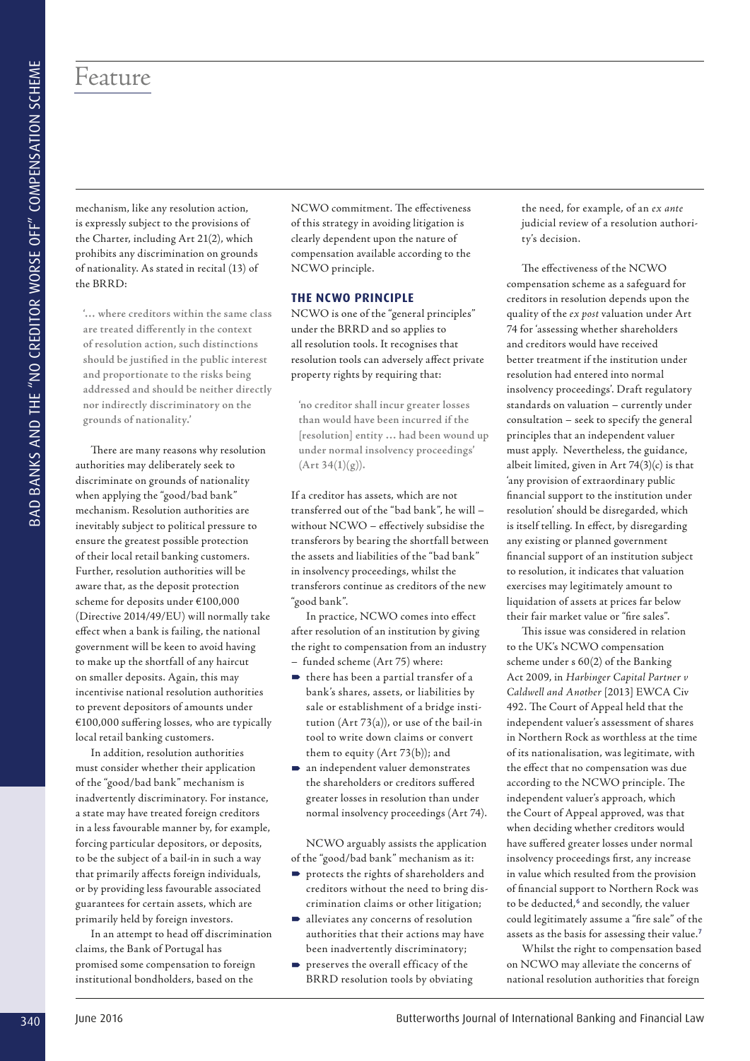## Feature

mechanism, like any resolution action, is expressly subject to the provisions of the Charter, including Art 21(2), which prohibits any discrimination on grounds of nationality. As stated in recital (13) of the BRRD:

**'… where creditors within the same class are treated differently in the context of resolution action, such distinctions should be justified in the public interest and proportionate to the risks being addressed and should be neither directly nor indirectly discriminatory on the grounds of nationality.'** 

There are many reasons why resolution authorities may deliberately seek to discriminate on grounds of nationality when applying the "good/bad bank" mechanism. Resolution authorities are inevitably subject to political pressure to ensure the greatest possible protection of their local retail banking customers. Further, resolution authorities will be aware that, as the deposit protection scheme for deposits under €100,000 (Directive 2014/49/EU) will normally take effect when a bank is failing, the national government will be keen to avoid having to make up the shortfall of any haircut on smaller deposits. Again, this may incentivise national resolution authorities to prevent depositors of amounts under  $€100,000$  suffering losses, who are typically local retail banking customers.

In addition, resolution authorities must consider whether their application of the "good/bad bank" mechanism is inadvertently discriminatory. For instance, a state may have treated foreign creditors in a less favourable manner by, for example, forcing particular depositors, or deposits, to be the subject of a bail-in in such a way that primarily affects foreign individuals, or by providing less favourable associated guarantees for certain assets, which are primarily held by foreign investors.

In an attempt to head off discrimination claims, the Bank of Portugal has promised some compensation to foreign institutional bondholders, based on the

NCWO commitment. The effectiveness of this strategy in avoiding litigation is clearly dependent upon the nature of compensation available according to the NCWO principle.

#### **THE NCWO PRINCIPLE**

NCWO is one of the "general principles*"* under the BRRD and so applies to all resolution tools. It recognises that resolution tools can adversely affect private property rights by requiring that:

**'no creditor shall incur greater losses than would have been incurred if the [resolution] entity … had been wound up under normal insolvency proceedings'**   $(Art 34(1)(g)).$ 

If a creditor has assets, which are not transferred out of the "bad bank", he will – without NCWO – effectively subsidise the transferors by bearing the shortfall between the assets and liabilities of the "bad bank" in insolvency proceedings, whilst the transferors continue as creditors of the new "good bank".

In practice, NCWO comes into effect after resolution of an institution by giving the right to compensation from an industry – funded scheme (Art 75) where:

- $\blacktriangleright$  there has been a partial transfer of a bank's shares, assets, or liabilities by sale or establishment of a bridge institution (Art 73(a)), or use of the bail-in tool to write down claims or convert them to equity (Art 73(b)); and
- an independent valuer demonstrates the shareholders or creditors suffered greater losses in resolution than under normal insolvency proceedings (Art 74).

NCWO arguably assists the application of the "good/bad bank" mechanism as it:

- protects the rights of shareholders and creditors without the need to bring discrimination claims or other litigation;
- alleviates any concerns of resolution authorities that their actions may have been inadvertently discriminatory;
- preserves the overall efficacy of the BRRD resolution tools by obviating

the need, for example, of an *ex ante* judicial review of a resolution authority's decision.

The effectiveness of the NCWO compensation scheme as a safeguard for creditors in resolution depends upon the quality of the *ex post* valuation under Art 74 for 'assessing whether shareholders and creditors would have received better treatment if the institution under resolution had entered into normal insolvency proceedings'. Draft regulatory standards on valuation – currently under consultation – seek to specify the general principles that an independent valuer must apply. Nevertheless, the guidance, albeit limited, given in Art 74(3)(c) is that 'any provision of extraordinary public financial support to the institution under resolution' should be disregarded, which is itself telling. In effect, by disregarding any existing or planned government financial support of an institution subject to resolution, it indicates that valuation exercises may legitimately amount to liquidation of assets at prices far below their fair market value or "fire sales". **34** June 2018 Constrained the state of the state of the state of the state of the state of the state of the state of the state of the state of the state of the state of the state of the state of the state of the state of

This issue was considered in relation to the UK's NCWO compensation scheme under s 60(2) of the Banking Act 2009, in *Harbinger Capital Partner v Caldwell and Another* [2013] EWCA Civ 492. The Court of Appeal held that the independent valuer's assessment of shares in Northern Rock as worthless at the time of its nationalisation, was legitimate, with the effect that no compensation was due according to the NCWO principle. The independent valuer's approach, which the Court of Appeal approved, was that when deciding whether creditors would have suffered greater losses under normal insolvency proceedings first, any increase in value which resulted from the provision of financial support to Northern Rock was to be deducted,<sup>6</sup> and secondly, the valuer could legitimately assume a "fire sale" of the assets as the basis for assessing their value.<sup>7</sup>

Whilst the right to compensation based on NCWO may alleviate the concerns of national resolution authorities that foreign